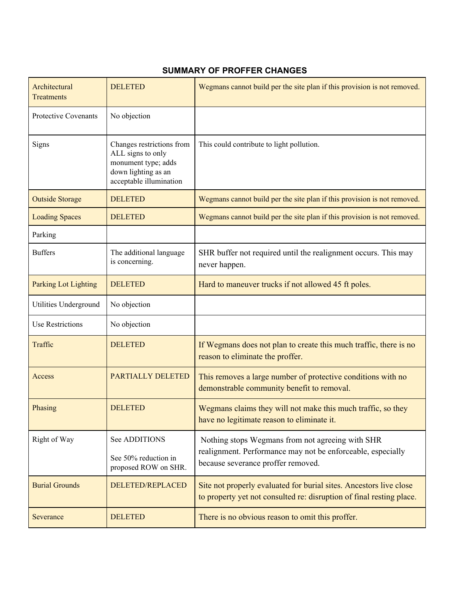## **SUMMARY OF PROFFER CHANGES**

| Architectural<br><b>Treatments</b> | <b>DELETED</b>                                                                                                          | Wegmans cannot build per the site plan if this provision is not removed.                                                                              |
|------------------------------------|-------------------------------------------------------------------------------------------------------------------------|-------------------------------------------------------------------------------------------------------------------------------------------------------|
| Protective Covenants               | No objection                                                                                                            |                                                                                                                                                       |
| Signs                              | Changes restrictions from<br>ALL signs to only<br>monument type; adds<br>down lighting as an<br>acceptable illumination | This could contribute to light pollution.                                                                                                             |
| <b>Outside Storage</b>             | <b>DELETED</b>                                                                                                          | Wegmans cannot build per the site plan if this provision is not removed.                                                                              |
| <b>Loading Spaces</b>              | <b>DELETED</b>                                                                                                          | Wegmans cannot build per the site plan if this provision is not removed.                                                                              |
| Parking                            |                                                                                                                         |                                                                                                                                                       |
| <b>Buffers</b>                     | The additional language<br>is concerning.                                                                               | SHR buffer not required until the realignment occurs. This may<br>never happen.                                                                       |
| Parking Lot Lighting               | <b>DELETED</b>                                                                                                          | Hard to maneuver trucks if not allowed 45 ft poles.                                                                                                   |
| Utilities Underground              | No objection                                                                                                            |                                                                                                                                                       |
| <b>Use Restrictions</b>            | No objection                                                                                                            |                                                                                                                                                       |
| Traffic                            | <b>DELETED</b>                                                                                                          | If Wegmans does not plan to create this much traffic, there is no<br>reason to eliminate the proffer.                                                 |
| Access                             | <b>PARTIALLY DELETED</b>                                                                                                | This removes a large number of protective conditions with no<br>demonstrable community benefit to removal.                                            |
| Phasing                            | <b>DELETED</b>                                                                                                          | Wegmans claims they will not make this much traffic, so they<br>have no legitimate reason to eliminate it.                                            |
| Right of Way                       | See ADDITIONS                                                                                                           | Nothing stops Wegmans from not agreeing with SHR<br>realignment. Performance may not be enforceable, especially<br>because severance proffer removed. |
|                                    | See 50% reduction in<br>proposed ROW on SHR.                                                                            |                                                                                                                                                       |
| <b>Burial Grounds</b>              | <b>DELETED/REPLACED</b>                                                                                                 | Site not properly evaluated for burial sites. Ancestors live close<br>to property yet not consulted re: disruption of final resting place.            |
| Severance                          | <b>DELETED</b>                                                                                                          | There is no obvious reason to omit this proffer.                                                                                                      |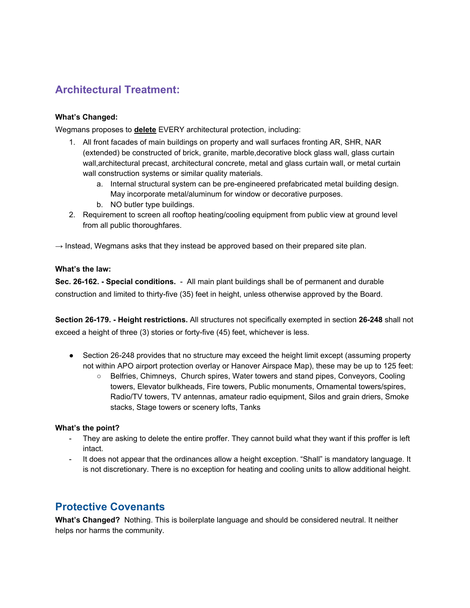# **Architectural Treatment:**

### **What's Changed:**

Wegmans proposes to **delete** EVERY architectural protection, including:

- 1. All front facades of main buildings on property and wall surfaces fronting AR, SHR, NAR (extended) be constructed of brick, granite, marble,decorative block glass wall, glass curtain wall,architectural precast, architectural concrete, metal and glass curtain wall, or metal curtain wall construction systems or similar quality materials.
	- a. Internal structural system can be pre-engineered prefabricated metal building design. May incorporate metal/aluminum for window or decorative purposes.
	- b. NO butler type buildings.
- 2. Requirement to screen all rooftop heating/cooling equipment from public view at ground level from all public thoroughfares.

 $\rightarrow$  Instead, Wegmans asks that they instead be approved based on their prepared site plan.

#### **What's the law:**

**Sec. 26-162. - Special conditions.** - All main plant buildings shall be of permanent and durable construction and limited to thirty-five (35) feet in height, unless otherwise approved by the Board.

**Section 26-179. - Height restrictions.** All structures not specifically exempted in section **26-248** shall not exceed a height of three (3) stories or forty-five (45) feet, whichever is less.

- Section 26-248 provides that no structure may exceed the height limit except (assuming property not within APO airport protection overlay or Hanover Airspace Map), these may be up to 125 feet:
	- Belfries, Chimneys, Church spires, Water towers and stand pipes, Conveyors, Cooling towers, Elevator bulkheads, Fire towers, Public monuments, Ornamental towers/spires, Radio/TV towers, TV antennas, amateur radio equipment, Silos and grain driers, Smoke stacks, Stage towers or scenery lofts, Tanks

### **What's the point?**

- They are asking to delete the entire proffer. They cannot build what they want if this proffer is left intact.
- It does not appear that the ordinances allow a height exception. "Shall" is mandatory language. It is not discretionary. There is no exception for heating and cooling units to allow additional height.

## **Protective Covenants**

**What's Changed?** Nothing. This is boilerplate language and should be considered neutral. It neither helps nor harms the community.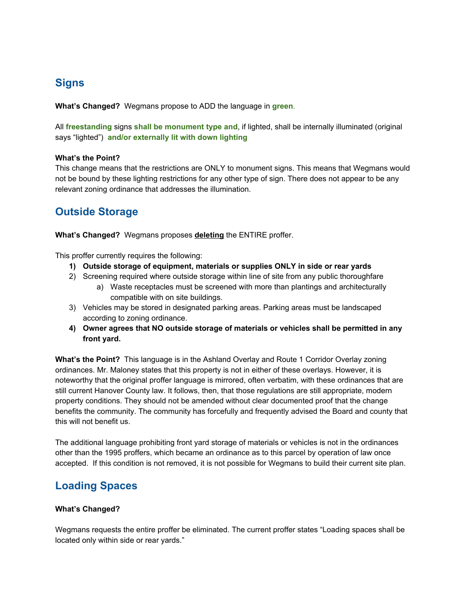# **Signs**

**What's Changed?** Wegmans propose to ADD the language in **green**.

All **freestanding** signs **shall be monument type and**, if lighted, shall be internally illuminated (original says "lighted") **and/or externally lit with down lighting**

#### **What's the Point?**

This change means that the restrictions are ONLY to monument signs. This means that Wegmans would not be bound by these lighting restrictions for any other type of sign. There does not appear to be any relevant zoning ordinance that addresses the illumination.

## **Outside Storage**

**What's Changed?** Wegmans proposes **deleting** the ENTIRE proffer.

This proffer currently requires the following:

- **1) Outside storage of equipment, materials or supplies ONLY in side or rear yards**
- 2) Screening required where outside storage within line of site from any public thoroughfare a) Waste receptacles must be screened with more than plantings and architecturally compatible with on site buildings.
- 3) Vehicles may be stored in designated parking areas. Parking areas must be landscaped according to zoning ordinance.
- **4) Owner agrees that NO outside storage of materials or vehicles shall be permitted in any front yard.**

**What's the Point?** This language is in the Ashland Overlay and Route 1 Corridor Overlay zoning ordinances. Mr. Maloney states that this property is not in either of these overlays. However, it is noteworthy that the original proffer language is mirrored, often verbatim, with these ordinances that are still current Hanover County law. It follows, then, that those regulations are still appropriate, modern property conditions. They should not be amended without clear documented proof that the change benefits the community. The community has forcefully and frequently advised the Board and county that this will not benefit us.

The additional language prohibiting front yard storage of materials or vehicles is not in the ordinances other than the 1995 proffers, which became an ordinance as to this parcel by operation of law once accepted. If this condition is not removed, it is not possible for Wegmans to build their current site plan.

## **Loading Spaces**

### **What's Changed?**

Wegmans requests the entire proffer be eliminated. The current proffer states "Loading spaces shall be located only within side or rear yards."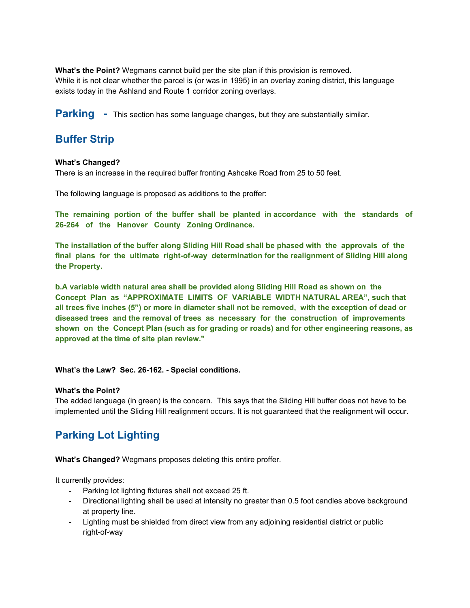**What's the Point?** Wegmans cannot build per the site plan if this provision is removed. While it is not clear whether the parcel is (or was in 1995) in an overlay zoning district, this language exists today in the Ashland and Route 1 corridor zoning overlays.

**Parking** - This section has some language changes, but they are substantially similar.

## **Buffer Strip**

#### **What's Changed?**

There is an increase in the required buffer fronting Ashcake Road from 25 to 50 feet.

The following language is proposed as additions to the proffer:

**The remaining portion of the buffer shall be planted in accordance with the standards of 26-264 of the Hanover County Zoning Ordinance.**

**The installation of the buffer along Sliding Hill Road shall be phased with the approvals of the final plans for the ultimate right-of-way determination for the realignment of Sliding Hill along the Property.**

**b.A variable width natural area shall be provided along Sliding Hill Road as shown on the Concept Plan as "APPROXIMATE LIMITS OF VARIABLE WIDTH NATURAL AREA", such that** all trees five inches (5") or more in diameter shall not be removed, with the exception of dead or **diseased trees and the removal of trees as necessary for the construction of improvements shown on the Concept Plan (such as for grading or roads) and for other engineering reasons, as approved at the time of site plan review."**

### **What's the Law? Sec. 26-162. - Special conditions.**

#### **What's the Point?**

The added language (in green) is the concern. This says that the Sliding Hill buffer does not have to be implemented until the Sliding Hill realignment occurs. It is not guaranteed that the realignment will occur.

# **Parking Lot Lighting**

**What's Changed?** Wegmans proposes deleting this entire proffer.

It currently provides:

- Parking lot lighting fixtures shall not exceed 25 ft.
- Directional lighting shall be used at intensity no greater than 0.5 foot candles above background at property line.
- Lighting must be shielded from direct view from any adjoining residential district or public right-of-way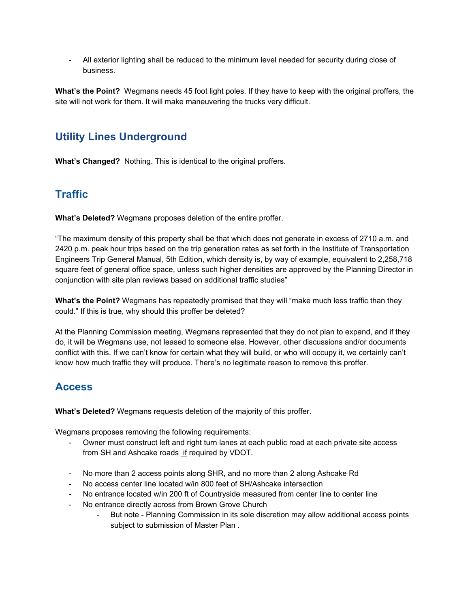- All exterior lighting shall be reduced to the minimum level needed for security during close of business.

**What's the Point?** Wegmans needs 45 foot light poles. If they have to keep with the original proffers, the site will not work for them. It will make maneuvering the trucks very difficult.

# **Utility Lines Underground**

**What's Changed?** Nothing. This is identical to the original proffers.

# **Traffic**

**What's Deleted?** Wegmans proposes deletion of the entire proffer.

"The maximum density of this property shall be that which does not generate in excess of 2710 a.m. and 2420 p.m. peak hour trips based on the trip generation rates as set forth in the Institute of Transportation Engineers Trip General Manual, 5th Edition, which density is, by way of example, equivalent to 2,258,718 square feet of general office space, unless such higher densities are approved by the Planning Director in conjunction with site plan reviews based on additional traffic studies"

**What's the Point?** Wegmans has repeatedly promised that they will "make much less traffic than they could." If this is true, why should this proffer be deleted?

At the Planning Commission meeting, Wegmans represented that they do not plan to expand, and if they do, it will be Wegmans use, not leased to someone else. However, other discussions and/or documents conflict with this. If we can't know for certain what they will build, or who will occupy it, we certainly can't know how much traffic they will produce. There's no legitimate reason to remove this proffer.

# **Access**

**What's Deleted?** Wegmans requests deletion of the majority of this proffer.

Wegmans proposes removing the following requirements:

- Owner must construct left and right turn lanes at each public road at each private site access from SH and Ashcake roads if required by VDOT.
- No more than 2 access points along SHR, and no more than 2 along Ashcake Rd
- No access center line located w/in 800 feet of SH/Ashcake intersection
- No entrance located w/in 200 ft of Countryside measured from center line to center line
- No entrance directly across from Brown Grove Church
	- But note Planning Commission in its sole discretion may allow additional access points subject to submission of Master Plan .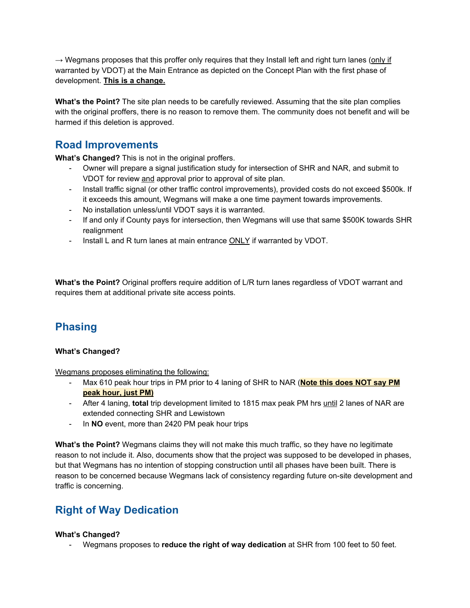$\rightarrow$  Wegmans proposes that this proffer only requires that they Install left and right turn lanes (only if warranted by VDOT) at the Main Entrance as depicted on the Concept Plan with the first phase of development. **This is a change.**

**What's the Point?** The site plan needs to be carefully reviewed. Assuming that the site plan complies with the original proffers, there is no reason to remove them. The community does not benefit and will be harmed if this deletion is approved.

## **Road Improvements**

**What's Changed?** This is not in the original proffers.

- Owner will prepare a signal justification study for intersection of SHR and NAR, and submit to VDOT for review and approval prior to approval of site plan.
- Install traffic signal (or other traffic control improvements), provided costs do not exceed \$500k. If it exceeds this amount, Wegmans will make a one time payment towards improvements.
- No installation unless/until VDOT says it is warranted.
- If and only if County pays for intersection, then Wegmans will use that same \$500K towards SHR realignment
- Install L and R turn lanes at main entrance **ONLY** if warranted by VDOT.

**What's the Point?** Original proffers require addition of L/R turn lanes regardless of VDOT warrant and requires them at additional private site access points.

# **Phasing**

### **What's Changed?**

Wegmans proposes eliminating the following:

- Max 610 peak hour trips in PM prior to 4 laning of SHR to NAR (**Note this does NOT say PM peak hour, just PM)**
- After 4 laning, **total** trip development limited to 1815 max peak PM hrs until 2 lanes of NAR are extended connecting SHR and Lewistown
- In **NO** event, more than 2420 PM peak hour trips

**What's the Point?** Wegmans claims they will not make this much traffic, so they have no legitimate reason to not include it. Also, documents show that the project was supposed to be developed in phases, but that Wegmans has no intention of stopping construction until all phases have been built. There is reason to be concerned because Wegmans lack of consistency regarding future on-site development and traffic is concerning.

# **Right of Way Dedication**

### **What's Changed?**

- Wegmans proposes to **reduce the right of way dedication** at SHR from 100 feet to 50 feet.